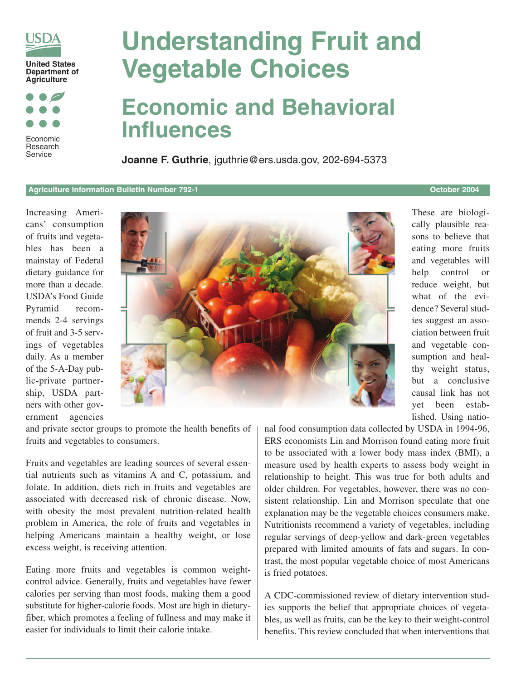

Economic Research Service

# **Understanding Fruit and Vegetable Choices**

## **Economic and Behavioral Influences**

**Joanne F. Guthrie**, jguthrie@ers.usda.gov, 202-694-5373

#### **Agriculture Information Bulletin Number 792-1 October 2004**

Increasing Americans' consumption of fruits and vegetables has been a mainstay of Federal dietary guidance for more than a decade. USDA's Food Guide Pyramid recommends 2-4 servings of fruit and 3-5 servings of vegetables daily. As a member of the 5-A-Day public-private partnership, USDA partners with other government agencies



These are biologically plausible reasons to believe that eating more fruits and vegetables will help control or reduce weight, but what of the evidence? Several studies suggest an association between fruit and vegetable consumption and healthy weight status, but a conclusive causal link has not yet been established. Using natio-

and private sector groups to promote the health benefits of fruits and vegetables to consumers.

Fruits and vegetables are leading sources of several essential nutrients such as vitamins A and C, potassium, and folate. In addition, diets rich in fruits and vegetables are associated with decreased risk of chronic disease. Now, with obesity the most prevalent nutrition-related health problem in America, the role of fruits and vegetables in helping Americans maintain a healthy weight, or lose excess weight, is receiving attention.

Eating more fruits and vegetables is common weightcontrol advice. Generally, fruits and vegetables have fewer calories per serving than most foods, making them a good substitute for higher-calorie foods. Most are high in dietaryfiber, which promotes a feeling of fullness and may make it easier for individuals to limit their calorie intake.

nal food consumption data collected by USDA in 1994-96, ERS economists Lin and Morrison found eating more fruit to be associated with a lower body mass index (BMI), a measure used by health experts to assess body weight in relationship to height. This was true for both adults and older children. For vegetables, however, there was no consistent relationship. Lin and Morrison speculate that one explanation may be the vegetable choices consumers make. Nutritionists recommend a variety of vegetables, including regular servings of deep-yellow and dark-green vegetables prepared with limited amounts of fats and sugars. In contrast, the most popular vegetable choice of most Americans is fried potatoes.

A CDC-commissioned review of dietary intervention studies supports the belief that appropriate choices of vegetables, as well as fruits, can be the key to their weight-control benefits. This review concluded that when interventions that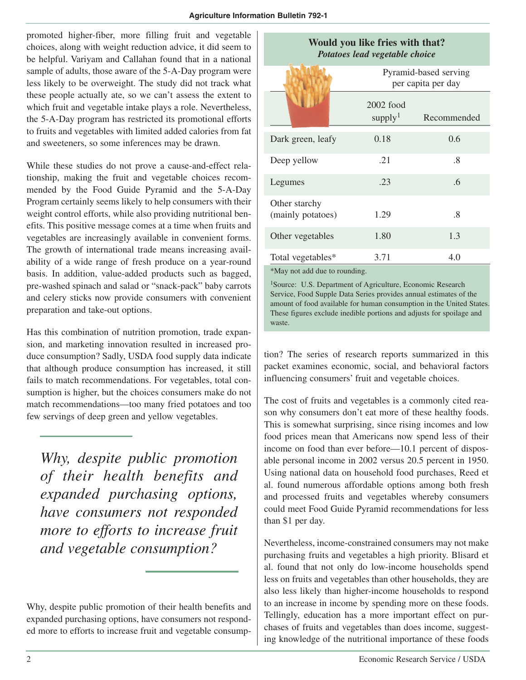promoted higher-fiber, more filling fruit and vegetable choices, along with weight reduction advice, it did seem to be helpful. Variyam and Callahan found that in a national sample of adults, those aware of the 5-A-Day program were less likely to be overweight. The study did not track what these people actually ate, so we can't assess the extent to which fruit and vegetable intake plays a role. Nevertheless, the 5-A-Day program has restricted its promotional efforts to fruits and vegetables with limited added calories from fat and sweeteners, so some inferences may be drawn.

While these studies do not prove a cause-and-effect relationship, making the fruit and vegetable choices recommended by the Food Guide Pyramid and the 5-A-Day Program certainly seems likely to help consumers with their weight control efforts, while also providing nutritional benefits. This positive message comes at a time when fruits and vegetables are increasingly available in convenient forms. The growth of international trade means increasing availability of a wide range of fresh produce on a year-round basis. In addition, value-added products such as bagged, pre-washed spinach and salad or "snack-pack" baby carrots and celery sticks now provide consumers with convenient preparation and take-out options.

Has this combination of nutrition promotion, trade expansion, and marketing innovation resulted in increased produce consumption? Sadly, USDA food supply data indicate that although produce consumption has increased, it still fails to match recommendations. For vegetables, total consumption is higher, but the choices consumers make do not match recommendations—too many fried potatoes and too few servings of deep green and yellow vegetables.

*Why, despite public promotion of their health benefits and expanded purchasing options, have consumers not responded more to efforts to increase fruit and vegetable consumption?* 

| Would you like fries with that?<br>Potatoes lead vegetable choice |                                             |             |
|-------------------------------------------------------------------|---------------------------------------------|-------------|
|                                                                   | Pyramid-based serving<br>per capita per day |             |
|                                                                   | $2002$ food<br>supply <sup>1</sup>          | Recommended |
| Dark green, leafy                                                 | 0.18                                        | 0.6         |
| Deep yellow                                                       | .21                                         | .8          |
| Legumes                                                           | .23                                         | .6          |
| Other starchy<br>(mainly potatoes)                                | 1.29                                        | .8          |
| Other vegetables                                                  | 1.80                                        | 1.3         |
| Total vegetables*                                                 | 3.71                                        | 4.0         |

\*May not add due to rounding.

<sup>1</sup>Source: U.S. Department of Agriculture, Economic Research Service, Food Supple Data Series provides annual estimates of the amount of food available for human consumption in the United States. These figures exclude inedible portions and adjusts for spoilage and waste.

tion? The series of research reports summarized in this packet examines economic, social, and behavioral factors influencing consumers' fruit and vegetable choices.

The cost of fruits and vegetables is a commonly cited reason why consumers don't eat more of these healthy foods. This is somewhat surprising, since rising incomes and low food prices mean that Americans now spend less of their income on food than ever before—10.1 percent of disposable personal income in 2002 versus 20.5 percent in 1950. Using national data on household food purchases, Reed et al. found numerous affordable options among both fresh and processed fruits and vegetables whereby consumers could meet Food Guide Pyramid recommendations for less than \$1 per day.

Nevertheless, income-constrained consumers may not make purchasing fruits and vegetables a high priority. Blisard et al. found that not only do low-income households spend less on fruits and vegetables than other households, they are also less likely than higher-income households to respond to an increase in income by spending more on these foods. Tellingly, education has a more important effect on purchases of fruits and vegetables than does income, suggesting knowledge of the nutritional importance of these foods

Why, despite public promotion of their health benefits and expanded purchasing options, have consumers not responded more to efforts to increase fruit and vegetable consump-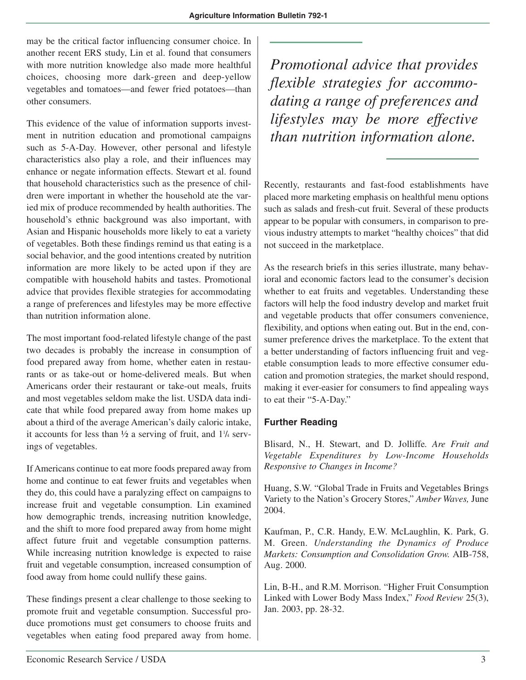may be the critical factor influencing consumer choice. In another recent ERS study, Lin et al. found that consumers with more nutrition knowledge also made more healthful choices, choosing more dark-green and deep-yellow vegetables and tomatoes—and fewer fried potatoes—than other consumers.

This evidence of the value of information supports investment in nutrition education and promotional campaigns such as 5-A-Day. However, other personal and lifestyle characteristics also play a role, and their influences may enhance or negate information effects. Stewart et al. found that household characteristics such as the presence of children were important in whether the household ate the varied mix of produce recommended by health authorities. The household's ethnic background was also important, with Asian and Hispanic households more likely to eat a variety of vegetables. Both these findings remind us that eating is a social behavior, and the good intentions created by nutrition information are more likely to be acted upon if they are compatible with household habits and tastes. Promotional advice that provides flexible strategies for accommodating a range of preferences and lifestyles may be more effective than nutrition information alone.

The most important food-related lifestyle change of the past two decades is probably the increase in consumption of food prepared away from home, whether eaten in restaurants or as take-out or home-delivered meals. But when Americans order their restaurant or take-out meals, fruits and most vegetables seldom make the list. USDA data indicate that while food prepared away from home makes up about a third of the average American's daily caloric intake, it accounts for less than  $\frac{1}{2}$  a serving of fruit, and  $1\frac{1}{4}$  servings of vegetables.

If Americans continue to eat more foods prepared away from home and continue to eat fewer fruits and vegetables when they do, this could have a paralyzing effect on campaigns to increase fruit and vegetable consumption. Lin examined how demographic trends, increasing nutrition knowledge, and the shift to more food prepared away from home might affect future fruit and vegetable consumption patterns. While increasing nutrition knowledge is expected to raise fruit and vegetable consumption, increased consumption of food away from home could nullify these gains.

These findings present a clear challenge to those seeking to promote fruit and vegetable consumption. Successful produce promotions must get consumers to choose fruits and vegetables when eating food prepared away from home.

*Promotional advice that provides flexible strategies for accommodating a range of preferences and lifestyles may be more effective than nutrition information alone.*

Recently, restaurants and fast-food establishments have placed more marketing emphasis on healthful menu options such as salads and fresh-cut fruit. Several of these products appear to be popular with consumers, in comparison to previous industry attempts to market "healthy choices" that did not succeed in the marketplace.

As the research briefs in this series illustrate, many behavioral and economic factors lead to the consumer's decision whether to eat fruits and vegetables. Understanding these factors will help the food industry develop and market fruit and vegetable products that offer consumers convenience, flexibility, and options when eating out. But in the end, consumer preference drives the marketplace. To the extent that a better understanding of factors influencing fruit and vegetable consumption leads to more effective consumer education and promotion strategies, the market should respond, making it ever-easier for consumers to find appealing ways to eat their "5-A-Day."

### **Further Reading**

Blisard, N., H. Stewart, and D. Jolliffe*. Are Fruit and Vegetable Expenditures by Low-Income Households Responsive to Changes in Income?*

Huang, S.W. "Global Trade in Fruits and Vegetables Brings Variety to the Nation's Grocery Stores," *Amber Waves,* June 2004.

Kaufman, P., C.R. Handy, E.W. McLaughlin, K. Park, G. M. Green. *Understanding the Dynamics of Produce Markets: Consumption and Consolidation Grow.* AIB-758, Aug. 2000.

Lin, B-H., and R.M. Morrison. "Higher Fruit Consumption Linked with Lower Body Mass Index," *Food Review* 25(3), Jan. 2003, pp. 28-32.